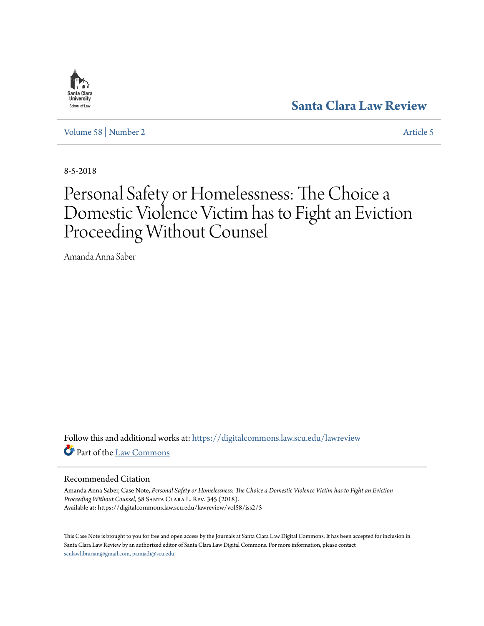

**[Santa Clara Law Review](https://digitalcommons.law.scu.edu/lawreview?utm_source=digitalcommons.law.scu.edu%2Flawreview%2Fvol58%2Fiss2%2F5&utm_medium=PDF&utm_campaign=PDFCoverPages)**

[Volume 58](https://digitalcommons.law.scu.edu/lawreview/vol58?utm_source=digitalcommons.law.scu.edu%2Flawreview%2Fvol58%2Fiss2%2F5&utm_medium=PDF&utm_campaign=PDFCoverPages) | [Number 2](https://digitalcommons.law.scu.edu/lawreview/vol58/iss2?utm_source=digitalcommons.law.scu.edu%2Flawreview%2Fvol58%2Fiss2%2F5&utm_medium=PDF&utm_campaign=PDFCoverPages) [Article 5](https://digitalcommons.law.scu.edu/lawreview/vol58/iss2/5?utm_source=digitalcommons.law.scu.edu%2Flawreview%2Fvol58%2Fiss2%2F5&utm_medium=PDF&utm_campaign=PDFCoverPages)

8-5-2018

# Personal Safety or Homelessness: The Choice a Domestic Violence Victim has to Fight an Eviction Proceeding Without Counsel

Amanda Anna Saber

Follow this and additional works at: [https://digitalcommons.law.scu.edu/lawreview](https://digitalcommons.law.scu.edu/lawreview?utm_source=digitalcommons.law.scu.edu%2Flawreview%2Fvol58%2Fiss2%2F5&utm_medium=PDF&utm_campaign=PDFCoverPages) Part of the [Law Commons](http://network.bepress.com/hgg/discipline/578?utm_source=digitalcommons.law.scu.edu%2Flawreview%2Fvol58%2Fiss2%2F5&utm_medium=PDF&utm_campaign=PDFCoverPages)

## Recommended Citation

Amanda Anna Saber, Case Note, *Personal Safety or Homelessness: The Choice a Domestic Violence Victim has to Fight an Eviction Proceeding Without Counsel*, 58 Santa Clara L. Rev. 345 (2018). Available at: https://digitalcommons.law.scu.edu/lawreview/vol58/iss2/5

This Case Note is brought to you for free and open access by the Journals at Santa Clara Law Digital Commons. It has been accepted for inclusion in Santa Clara Law Review by an authorized editor of Santa Clara Law Digital Commons. For more information, please contact [sculawlibrarian@gmail.com, pamjadi@scu.edu.](mailto:sculawlibrarian@gmail.com,%20pamjadi@scu.edu)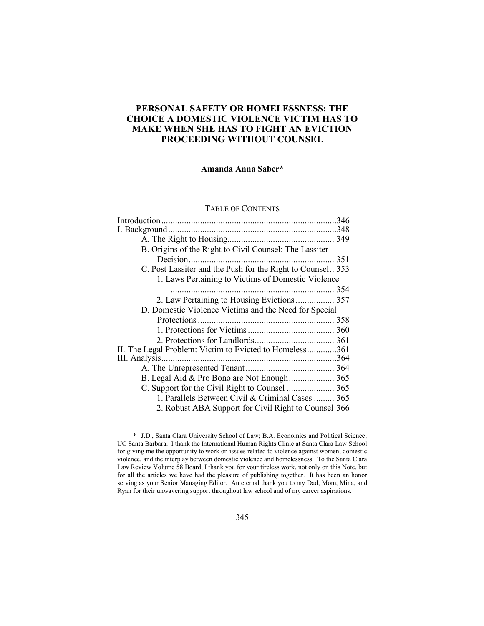# **PERSONAL SAFETY OR HOMELESSNESS: THE CHOICE A DOMESTIC VIOLENCE VICTIM HAS TO MAKE WHEN SHE HAS TO FIGHT AN EVICTION PROCEEDING WITHOUT COUNSEL**

## **Amanda Anna Saber\***

#### TABLE OF CONTENTS

|                                                            | .346 |
|------------------------------------------------------------|------|
|                                                            | .348 |
|                                                            |      |
| B. Origins of the Right to Civil Counsel: The Lassiter     |      |
|                                                            | 351  |
| C. Post Lassiter and the Push for the Right to Counsel 353 |      |
| 1. Laws Pertaining to Victims of Domestic Violence         |      |
|                                                            |      |
|                                                            |      |
| D. Domestic Violence Victims and the Need for Special      |      |
|                                                            | 358  |
|                                                            |      |
|                                                            |      |
| II. The Legal Problem: Victim to Evicted to Homeless361    |      |
|                                                            |      |
|                                                            |      |
|                                                            |      |
|                                                            |      |
| 1. Parallels Between Civil & Criminal Cases  365           |      |
| 2. Robust ABA Support for Civil Right to Counsel 366       |      |
|                                                            |      |

<sup>\*</sup> J.D., Santa Clara University School of Law; B.A. Economics and Political Science, UC Santa Barbara. I thank the International Human Rights Clinic at Santa Clara Law School for giving me the opportunity to work on issues related to violence against women, domestic violence, and the interplay between domestic violence and homelessness. To the Santa Clara Law Review Volume 58 Board, I thank you for your tireless work, not only on this Note, but for all the articles we have had the pleasure of publishing together. It has been an honor serving as your Senior Managing Editor. An eternal thank you to my Dad, Mom, Mina, and Ryan for their unwavering support throughout law school and of my career aspirations.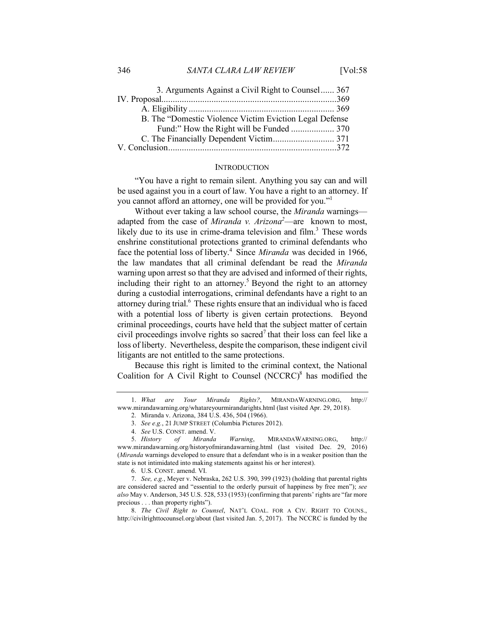| 3. Arguments Against a Civil Right to Counsel 367       |  |
|---------------------------------------------------------|--|
|                                                         |  |
|                                                         |  |
| B. The "Domestic Violence Victim Eviction Legal Defense |  |
|                                                         |  |
|                                                         |  |
|                                                         |  |

#### **INTRODUCTION**

"You have a right to remain silent. Anything you say can and will be used against you in a court of law. You have a right to an attorney. If you cannot afford an attorney, one will be provided for you."1

Without ever taking a law school course, the *Miranda* warnings adapted from the case of *Miranda v. Arizona2* —are known to most, likely due to its use in crime-drama television and  $film<sup>3</sup>$ . These words enshrine constitutional protections granted to criminal defendants who face the potential loss of liberty.<sup>4</sup> Since *Miranda* was decided in 1966, the law mandates that all criminal defendant be read the *Miranda*  warning upon arrest so that they are advised and informed of their rights, including their right to an attorney.<sup>5</sup> Beyond the right to an attorney during a custodial interrogations, criminal defendants have a right to an attorney during trial.<sup>6</sup> These rights ensure that an individual who is faced with a potential loss of liberty is given certain protections. Beyond criminal proceedings, courts have held that the subject matter of certain civil proceedings involve rights so sacred<sup>7</sup> that their loss can feel like a loss of liberty. Nevertheless, despite the comparison, these indigent civil litigants are not entitled to the same protections.

Because this right is limited to the criminal context, the National Coalition for A Civil Right to Counsel  $(NCC)$ <sup>8</sup> has modified the

<sup>1.</sup> *What are Your Miranda Rights?*, MIRANDAWARNING.ORG, http:// www.mirandawarning.org/whatareyourmirandarights.html (last visited Apr. 29, 2018).

<sup>2.</sup> Miranda v. Arizona, 384 U.S. 436, 504 (1966).

<sup>3.</sup> *See e.g.*, 21 JUMP STREET (Columbia Pictures 2012).

<sup>4.</sup> *See* U.S. CONST. amend. V.

<sup>5.</sup> *History of Miranda Warning*, MIRANDAWARNING.ORG, http:// www.mirandawarning.org/historyofmirandawarning.html (last visited Dec. 29, 2016) (*Miranda* warnings developed to ensure that a defendant who is in a weaker position than the state is not intimidated into making statements against his or her interest).

<sup>6.</sup> U.S. CONST. amend. VI.

<sup>7.</sup> *See, e.g.*, Meyer v. Nebraska, 262 U.S. 390, 399 (1923) (holding that parental rights are considered sacred and "essential to the orderly pursuit of happiness by free men"); *see also* May v. Anderson, 345 U.S. 528, 533 (1953) (confirming that parents' rights are "far more precious . . . than property rights").

<sup>8.</sup> *The Civil Right to Counsel*, NAT'L COAL. FOR A CIV. RIGHT TO COUNS., http://civilrighttocounsel.org/about (last visited Jan. 5, 2017). The NCCRC is funded by the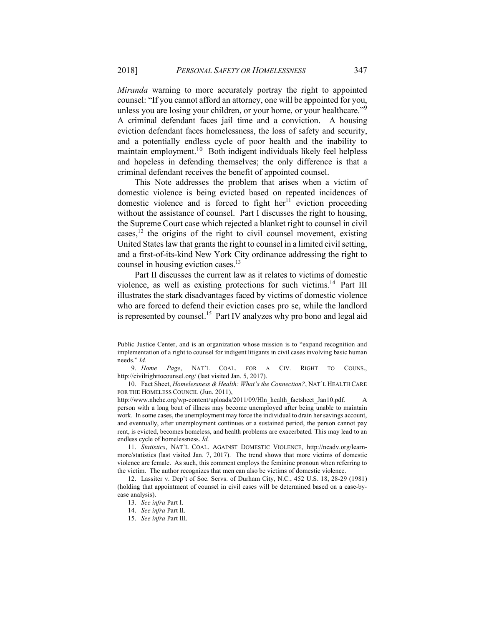*Miranda* warning to more accurately portray the right to appointed counsel: "If you cannot afford an attorney, one will be appointed for you, unless you are losing your children, or your home, or your healthcare."<sup>9</sup> A criminal defendant faces jail time and a conviction. A housing eviction defendant faces homelessness, the loss of safety and security, and a potentially endless cycle of poor health and the inability to maintain employment.<sup>10</sup> Both indigent individuals likely feel helpless and hopeless in defending themselves; the only difference is that a criminal defendant receives the benefit of appointed counsel.

This Note addresses the problem that arises when a victim of domestic violence is being evicted based on repeated incidences of domestic violence and is forced to fight her<sup>11</sup> eviction proceeding without the assistance of counsel. Part I discusses the right to housing, the Supreme Court case which rejected a blanket right to counsel in civil cases,  $^{12}$  the origins of the right to civil counsel movement, existing United States law that grants the right to counsel in a limited civil setting, and a first-of-its-kind New York City ordinance addressing the right to counsel in housing eviction cases.<sup>13</sup>

Part II discusses the current law as it relates to victims of domestic violence, as well as existing protections for such victims.<sup>14</sup> Part III illustrates the stark disadvantages faced by victims of domestic violence who are forced to defend their eviction cases pro se, while the landlord is represented by counsel.<sup>15</sup> Part IV analyzes why pro bono and legal aid

10. Fact Sheet, *Homelessness & Health: What's the Connection?*, NAT'L HEALTH CARE FOR THE HOMELESS COUNCIL (Jun. 2011),

http://www.nhchc.org/wp-content/uploads/2011/09/Hln\_health\_factsheet\_Jan10.pdf. A person with a long bout of illness may become unemployed after being unable to maintain work. In some cases, the unemployment may force the individual to drain her savings account, and eventually, after unemployment continues or a sustained period, the person cannot pay rent, is evicted, becomes homeless, and health problems are exacerbated. This may lead to an endless cycle of homelessness. *Id.* 

11. *Statistics*, NAT'L COAL. AGAINST DOMESTIC VIOLENCE, http://ncadv.org/learnmore/statistics (last visited Jan. 7, 2017). The trend shows that more victims of domestic violence are female. As such, this comment employs the feminine pronoun when referring to the victim. The author recognizes that men can also be victims of domestic violence.

Public Justice Center, and is an organization whose mission is to "expand recognition and implementation of a right to counsel for indigent litigants in civil cases involving basic human needs." *Id.* 

<sup>9.</sup> *Home Page*, NAT'L COAL. FOR A CIV. RIGHT TO COUNS., http://civilrighttocounsel.org/ (last visited Jan. 5, 2017).

<sup>12.</sup> Lassiter v. Dep't of Soc. Servs. of Durham City, N.C*.*, 452 U.S. 18, 28-29 (1981) (holding that appointment of counsel in civil cases will be determined based on a case-bycase analysis).

<sup>13.</sup> *See infra* Part I.

<sup>14.</sup> *See infra* Part II.

<sup>15.</sup> *See infra* Part III.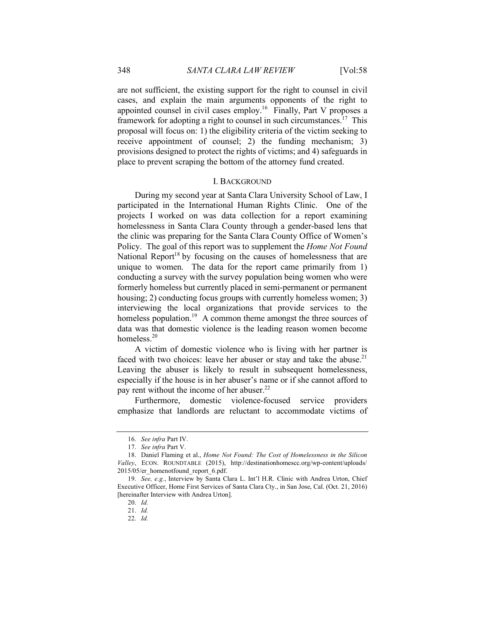are not sufficient, the existing support for the right to counsel in civil cases, and explain the main arguments opponents of the right to appointed counsel in civil cases employ.<sup>16</sup> Finally, Part V proposes a framework for adopting a right to counsel in such circumstances.<sup>17</sup> This proposal will focus on: 1) the eligibility criteria of the victim seeking to receive appointment of counsel; 2) the funding mechanism; 3) provisions designed to protect the rights of victims; and 4) safeguards in place to prevent scraping the bottom of the attorney fund created.

#### I. BACKGROUND

During my second year at Santa Clara University School of Law, I participated in the International Human Rights Clinic. One of the projects I worked on was data collection for a report examining homelessness in Santa Clara County through a gender-based lens that the clinic was preparing for the Santa Clara County Office of Women's Policy. The goal of this report was to supplement the *Home Not Found*  National Report<sup>18</sup> by focusing on the causes of homelessness that are unique to women. The data for the report came primarily from 1) conducting a survey with the survey population being women who were formerly homeless but currently placed in semi-permanent or permanent housing; 2) conducting focus groups with currently homeless women; 3) interviewing the local organizations that provide services to the homeless population.<sup>19</sup> A common theme amongst the three sources of data was that domestic violence is the leading reason women become homeless.<sup>20</sup>

A victim of domestic violence who is living with her partner is faced with two choices: leave her abuser or stay and take the abuse.<sup>21</sup> Leaving the abuser is likely to result in subsequent homelessness, especially if the house is in her abuser's name or if she cannot afford to pay rent without the income of her abuser.<sup>22</sup>

Furthermore, domestic violence-focused service providers emphasize that landlords are reluctant to accommodate victims of

<sup>16.</sup> *See infra* Part IV.

<sup>17.</sup> *See infra* Part V.

<sup>18.</sup> Daniel Flaming et al., *Home Not Found: The Cost of Homelessness in the Silicon Valley*, ECON. ROUNDTABLE (2015), http://destinationhomescc.org/wp-content/uploads/ 2015/05/er\_homenotfound\_report\_6.pdf.

<sup>19.</sup> *See, e.g.*, Interview by Santa Clara L. Int'l H.R. Clinic with Andrea Urton, Chief Executive Officer, Home First Services of Santa Clara Cty., in San Jose, Cal. (Oct. 21, 2016) [hereinafter Interview with Andrea Urton].

<sup>20.</sup> *Id.*

<sup>21.</sup> *Id.*

<sup>22.</sup> *Id.*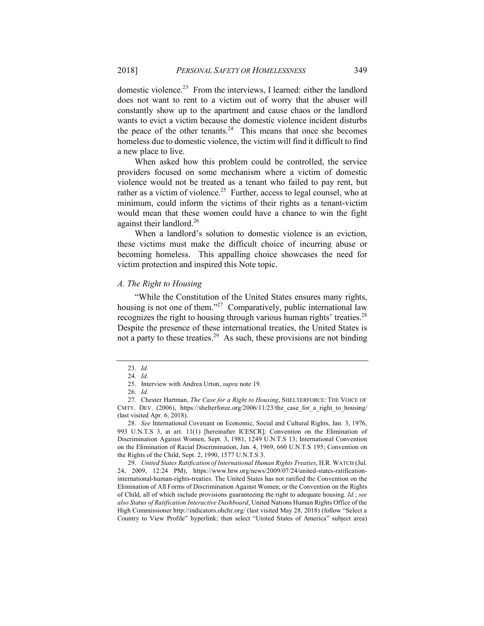domestic violence.<sup>23</sup> From the interviews, I learned: either the landlord does not want to rent to a victim out of worry that the abuser will constantly show up to the apartment and cause chaos or the landlord wants to evict a victim because the domestic violence incident disturbs the peace of the other tenants. $24$  This means that once she becomes homeless due to domestic violence, the victim will find it difficult to find a new place to live.

When asked how this problem could be controlled, the service providers focused on some mechanism where a victim of domestic violence would not be treated as a tenant who failed to pay rent, but rather as a victim of violence.<sup>25</sup> Further, access to legal counsel, who at minimum, could inform the victims of their rights as a tenant-victim would mean that these women could have a chance to win the fight against their landlord.<sup>26</sup>

When a landlord's solution to domestic violence is an eviction, these victims must make the difficult choice of incurring abuse or becoming homeless. This appalling choice showcases the need for victim protection and inspired this Note topic.

## *A. The Right to Housing*

"While the Constitution of the United States ensures many rights, housing is not one of them."<sup>27</sup> Comparatively, public international law recognizes the right to housing through various human rights' treaties.<sup>28</sup> Despite the presence of these international treaties, the United States is not a party to these treaties.29 As such, these provisions are not binding

<sup>23.</sup> *Id.*

<sup>24.</sup> *Id.*

<sup>25.</sup> Interview with Andrea Urton, *supra* note 19.

<sup>26.</sup> *Id.*

<sup>27.</sup> Chester Hartman, *The Case for a Right to Housing*, SHELTERFORCE: THE VOICE OF CMTY. DEV. (2006), https://shelterforce.org/2006/11/23/the\_case\_for\_a\_right\_to\_housing/ (last visited Apr. 6, 2018).

<sup>28.</sup> *See* International Covenant on Economic, Social and Cultural Rights, Jan. 3, 1976, 993 U.N.T.S 3, at art. 11(1) [hereinafter ICESCR]; Convention on the Elimination of Discrimination Against Women, Sept. 3, 1981, 1249 U.N.T.S 13; International Convention on the Elimination of Racial Discrimination, Jan. 4, 1969, 660 U.N.T.S 195; Convention on the Rights of the Child, Sept. 2, 1990, 1577 U.N.T.S 3.

<sup>29.</sup> *United States Ratification of International Human Rights Treaties*, H.R. WATCH (Jul. 24, 2009, 12:24 PM), https://www.hrw.org/news/2009/07/24/united-states-ratificationinternational-human-rights-treaties. The United States has not ratified the Convention on the Elimination of All Forms of Discrimination Against Women; or the Convention on the Rights of Child, all of which include provisions guaranteeing the right to adequate housing. *Id.*; *see also Status of Ratification Interactive Dashboard*, United Nations Human Rights Office of the High Commissioner http://indicators.ohchr.org/ (last visited May 28, 2018) (follow "Select a Country to View Profile" hyperlink; then select "United States of America" subject area)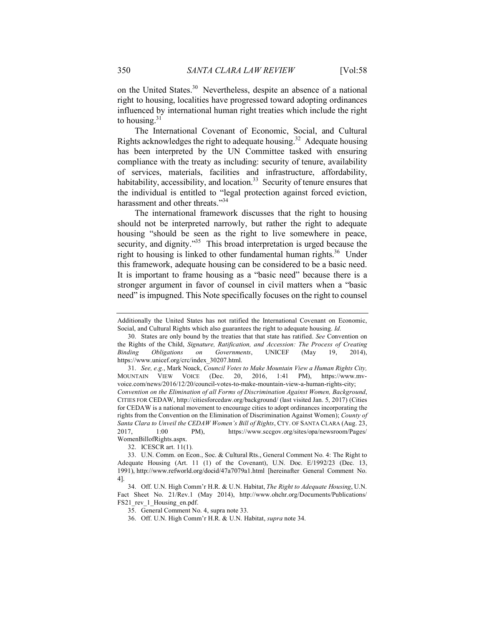on the United States.<sup>30</sup> Nevertheless, despite an absence of a national right to housing, localities have progressed toward adopting ordinances influenced by international human right treaties which include the right to housing. $31$ 

The International Covenant of Economic, Social, and Cultural Rights acknowledges the right to adequate housing.<sup>32</sup> Adequate housing has been interpreted by the UN Committee tasked with ensuring compliance with the treaty as including: security of tenure, availability of services, materials, facilities and infrastructure, affordability, habitability, accessibility, and location.<sup>33</sup> Security of tenure ensures that the individual is entitled to "legal protection against forced eviction, harassment and other threats."<sup>34</sup>

The international framework discusses that the right to housing should not be interpreted narrowly, but rather the right to adequate housing "should be seen as the right to live somewhere in peace, security, and dignity.<sup>35</sup> This broad interpretation is urged because the right to housing is linked to other fundamental human rights.<sup>36</sup> Under this framework, adequate housing can be considered to be a basic need. It is important to frame housing as a "basic need" because there is a stronger argument in favor of counsel in civil matters when a "basic need" is impugned. This Note specifically focuses on the right to counsel

31. *See, e.g.*, Mark Noack, *Council Votes to Make Mountain View a Human Rights City,* MOUNTAIN VIEW VOICE (Dec. 20, 2016, 1:41 PM), https://www.mvvoice.com/news/2016/12/20/council-votes-to-make-mountain-view-a-human-rights-city; *Convention on the Elimination of all Forms of Discrimination Against Women, Background*, CITIES FOR CEDAW, http://citiesforcedaw.org/background/ (last visited Jan. 5, 2017) (Cities for CEDAW is a national movement to encourage cities to adopt ordinances incorporating the rights from the Convention on the Elimination of Discrimination Against Women); *County of Santa Clara to Unveil the CEDAW Women's Bill of Rights*, CTY. OF SANTA CLARA (Aug. 23, 2017, 1:00 PM), https://www.sccgov.org/sites/opa/newsroom/Pages/ WomenBillofRights.aspx.

32. ICESCR art. 11(1).

33. U.N. Comm. on Econ., Soc. & Cultural Rts., General Comment No. 4: The Right to Adequate Housing (Art. 11 (1) of the Covenant), U.N. Doc. E/1992/23 (Dec. 13, 1991), http://www.refworld.org/docid/47a7079a1.html [hereinafter General Comment No. 4].

Additionally the United States has not ratified the International Covenant on Economic, Social, and Cultural Rights which also guarantees the right to adequate housing. *Id.* 

<sup>30.</sup> States are only bound by the treaties that that state has ratified. *See* Convention on the Rights of the Child, *Signature, Ratification, and Accession: The Process of Creating Binding Obligations on Governments*, UNICEF (May 19, 2014), https://www.unicef.org/crc/index\_30207.html.

<sup>34.</sup> Off. U.N. High Comm'r H.R. & U.N. Habitat, *The Right to Adequate Housing*, U.N. Fact Sheet No. 21/Rev.1 (May 2014), http://www.ohchr.org/Documents/Publications/ FS21\_rev\_1\_Housing\_en.pdf.

<sup>35.</sup> General Comment No. 4, supra note 33.

<sup>36.</sup> Off. U.N. High Comm'r H.R. & U.N. Habitat, *supra* note 34.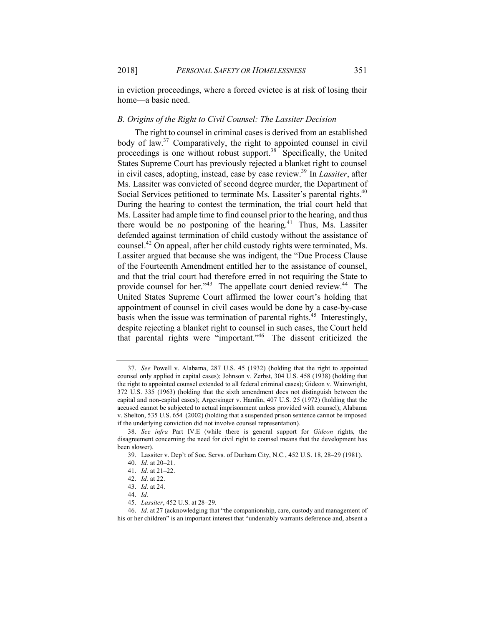in eviction proceedings, where a forced evictee is at risk of losing their home—a basic need.

#### *B. Origins of the Right to Civil Counsel: The Lassiter Decision*

The right to counsel in criminal cases is derived from an established body of law.<sup>37</sup> Comparatively, the right to appointed counsel in civil proceedings is one without robust support.<sup>38</sup> Specifically, the United States Supreme Court has previously rejected a blanket right to counsel in civil cases, adopting, instead, case by case review.39 In *Lassiter*, after Ms. Lassiter was convicted of second degree murder, the Department of Social Services petitioned to terminate Ms. Lassiter's parental rights.<sup>40</sup> During the hearing to contest the termination, the trial court held that Ms. Lassiter had ample time to find counsel prior to the hearing, and thus there would be no postponing of the hearing.<sup>41</sup> Thus, Ms. Lassiter defended against termination of child custody without the assistance of counsel.42 On appeal, after her child custody rights were terminated, Ms. Lassiter argued that because she was indigent, the "Due Process Clause of the Fourteenth Amendment entitled her to the assistance of counsel, and that the trial court had therefore erred in not requiring the State to provide counsel for her."<sup>43</sup> The appellate court denied review.<sup>44</sup> The United States Supreme Court affirmed the lower court's holding that appointment of counsel in civil cases would be done by a case-by-case basis when the issue was termination of parental rights.<sup>45</sup> Interestingly, despite rejecting a blanket right to counsel in such cases, the Court held that parental rights were "important."46 The dissent criticized the

<sup>37.</sup> *See* Powell v. Alabama, 287 U.S. 45 (1932) (holding that the right to appointed counsel only applied in capital cases); Johnson v. Zerbst, 304 U.S. 458 (1938) (holding that the right to appointed counsel extended to all federal criminal cases); Gideon v. Wainwright, 372 U.S. 335 (1963) (holding that the sixth amendment does not distinguish between the capital and non-capital cases); Argersinger v. Hamlin, 407 U.S. 25 (1972) (holding that the accused cannot be subjected to actual imprisonment unless provided with counsel); Alabama v. Shelton, 535 U.S. 654 (2002) (holding that a suspended prison sentence cannot be imposed if the underlying conviction did not involve counsel representation).

<sup>38.</sup> *See infra* Part IV.E (while there is general support for *Gideon* rights, the disagreement concerning the need for civil right to counsel means that the development has been slower).

<sup>39.</sup> Lassiter v. Dep't of Soc. Servs. of Durham City, N.C*.*, 452 U.S. 18, 28–29 (1981).

<sup>40.</sup> *Id.* at 20–21.

<sup>41.</sup> *Id.* at 21–22.

<sup>42.</sup> *Id.* at 22.

<sup>43.</sup> *Id.* at 24.

<sup>44.</sup> *Id.*

<sup>45.</sup> *Lassiter*, 452 U.S. at 28–29.

<sup>46.</sup> *Id.* at 27 (acknowledging that "the companionship, care, custody and management of his or her children" is an important interest that "undeniably warrants deference and, absent a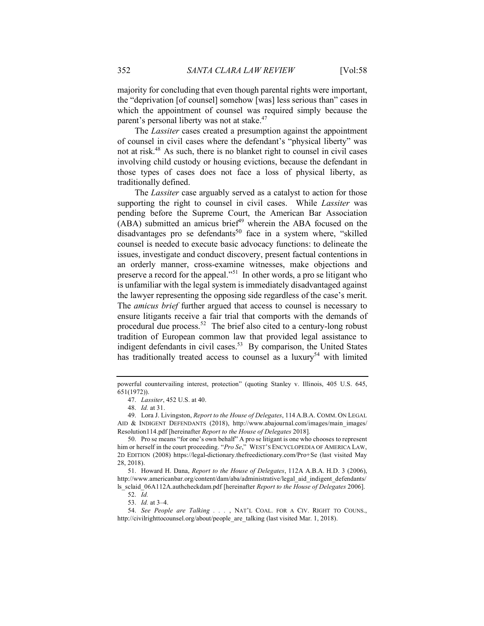majority for concluding that even though parental rights were important, the "deprivation [of counsel] somehow [was] less serious than" cases in which the appointment of counsel was required simply because the parent's personal liberty was not at stake.<sup>47</sup>

The *Lassiter* cases created a presumption against the appointment of counsel in civil cases where the defendant's "physical liberty" was not at risk.48 As such, there is no blanket right to counsel in civil cases involving child custody or housing evictions, because the defendant in those types of cases does not face a loss of physical liberty, as traditionally defined.

The *Lassiter* case arguably served as a catalyst to action for those supporting the right to counsel in civil cases. While *Lassiter* was pending before the Supreme Court, the American Bar Association  $(ABA)$  submitted an amicus brief<sup>49</sup> wherein the ABA focused on the disadvantages pro se defendants<sup>50</sup> face in a system where, "skilled counsel is needed to execute basic advocacy functions: to delineate the issues, investigate and conduct discovery, present factual contentions in an orderly manner, cross-examine witnesses, make objections and preserve a record for the appeal."<sup>51</sup> In other words, a pro se litigant who is unfamiliar with the legal system is immediately disadvantaged against the lawyer representing the opposing side regardless of the case's merit. The *amicus brief* further argued that access to counsel is necessary to ensure litigants receive a fair trial that comports with the demands of procedural due process. $52$  The brief also cited to a century-long robust tradition of European common law that provided legal assistance to indigent defendants in civil cases.<sup>53</sup> By comparison, the United States has traditionally treated access to counsel as a luxury<sup>54</sup> with limited

51. Howard H. Dana, *Report to the House of Delegates*, 112A A.B.A. H.D. 3 (2006), http://www.americanbar.org/content/dam/aba/administrative/legal\_aid\_indigent\_defendants/ ls\_sclaid\_06A112A.authcheckdam.pdf [hereinafter *Report to the House of Delegates* 2006].

powerful countervailing interest, protection" (quoting Stanley v. Illinois, 405 U.S. 645, 651(1972)).

<sup>47.</sup> *Lassiter*, 452 U.S. at 40.

<sup>48.</sup> *Id.* at 31.

<sup>49.</sup> Lora J. Livingston, *Report to the House of Delegates*, 114 A.B.A. COMM. ON LEGAL AID & INDIGENT DEFENDANTS (2018), http://www.abajournal.com/images/main\_images/ Resolution114.pdf [hereinafter *Report to the House of Delegates* 2018].

<sup>50.</sup> Pro se means "for one's own behalf" A pro se litigant is one who chooses to represent him or herself in the court proceeding. "*Pro Se*," WEST'S ENCYCLOPEDIA OF AMERICA LAW, 2D EDITION (2008) https://legal-dictionary.thefreedictionary.com/Pro+Se (last visited May 28, 2018).

<sup>52.</sup> *Id.*

<sup>53.</sup> *Id.* at 3–4.

<sup>54.</sup> *See People are Talking . . .* , NAT'L COAL. FOR A CIV. RIGHT TO COUNS., http://civilrighttocounsel.org/about/people\_are\_talking (last visited Mar. 1, 2018).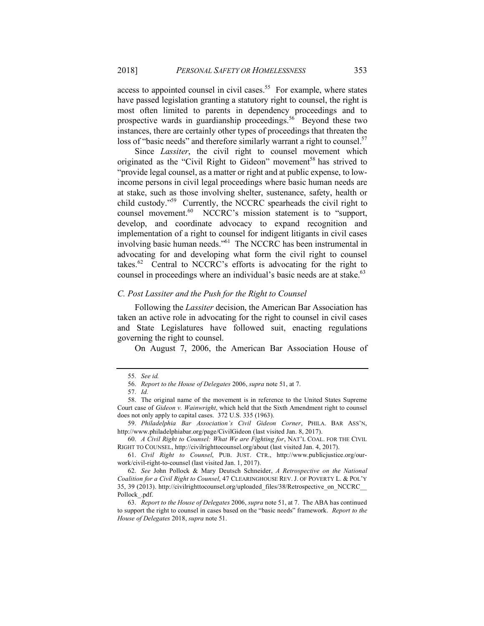access to appointed counsel in civil cases.<sup>55</sup> For example, where states have passed legislation granting a statutory right to counsel, the right is most often limited to parents in dependency proceedings and to prospective wards in guardianship proceedings.<sup>56</sup> Beyond these two instances, there are certainly other types of proceedings that threaten the loss of "basic needs" and therefore similarly warrant a right to counsel.<sup>57</sup>

Since *Lassiter*, the civil right to counsel movement which originated as the "Civil Right to Gideon" movement<sup>58</sup> has strived to "provide legal counsel, as a matter or right and at public expense, to lowincome persons in civil legal proceedings where basic human needs are at stake, such as those involving shelter, sustenance, safety, health or child custody."59 Currently, the NCCRC spearheads the civil right to counsel movement.<sup>60</sup> NCCRC's mission statement is to "support, develop, and coordinate advocacy to expand recognition and implementation of a right to counsel for indigent litigants in civil cases involving basic human needs."61 The NCCRC has been instrumental in advocating for and developing what form the civil right to counsel takes. $62$  Central to NCCRC's efforts is advocating for the right to counsel in proceedings where an individual's basic needs are at stake.<sup>63</sup>

#### *C. Post Lassiter and the Push for the Right to Counsel*

Following the *Lassiter* decision, the American Bar Association has taken an active role in advocating for the right to counsel in civil cases and State Legislatures have followed suit, enacting regulations governing the right to counsel.

On August 7, 2006, the American Bar Association House of

<sup>55.</sup> *See id.*

<sup>56.</sup> *Report to the House of Delegates* 2006, *supra* note 51, at 7.

<sup>57.</sup> *Id.*

<sup>58.</sup> The original name of the movement is in reference to the United States Supreme Court case of *Gideon v. Wainwright*, which held that the Sixth Amendment right to counsel does not only apply to capital cases. 372 U.S. 335 (1963).

<sup>59.</sup> *Philadelphia Bar Association's Civil Gideon Corner*, PHILA. BAR ASS'N, http://www.philadelphiabar.org/page/CivilGideon (last visited Jan. 8, 2017).

<sup>60.</sup> *A Civil Right to Counsel: What We are Fighting for*, NAT'L COAL. FOR THE CIVIL RIGHT TO COUNSEL, http://civilrighttocounsel.org/about (last visited Jan. 4, 2017).

<sup>61.</sup> *Civil Right to Counsel*, PUB. JUST. CTR., http://www.publicjustice.org/ourwork/civil-right-to-counsel (last visited Jan. 1, 2017).

<sup>62.</sup> *See* John Pollock & Mary Deutsch Schneider, *A Retrospective on the National Coalition for a Civil Right to Counsel*, 47 CLEARINGHOUSE REV. J. OF POVERTY L. & POL'Y 35, 39 (2013). http://civilrighttocounsel.org/uploaded\_files/38/Retrospective\_on\_NCCRC\_\_ Pollock\_.pdf.

<sup>63.</sup> *Report to the House of Delegates* 2006, *supra* note 51, at 7. The ABA has continued to support the right to counsel in cases based on the "basic needs" framework. *Report to the House of Delegates* 2018, *supra* note 51.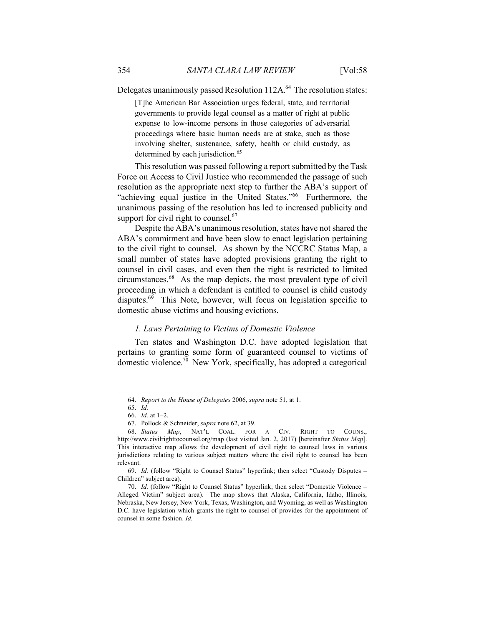Delegates unanimously passed Resolution 112A.<sup>64</sup> The resolution states:

[T]he American Bar Association urges federal, state, and territorial governments to provide legal counsel as a matter of right at public expense to low-income persons in those categories of adversarial proceedings where basic human needs are at stake, such as those involving shelter, sustenance, safety, health or child custody, as determined by each jurisdiction.<sup>65</sup>

This resolution was passed following a report submitted by the Task Force on Access to Civil Justice who recommended the passage of such resolution as the appropriate next step to further the ABA's support of "achieving equal justice in the United States."66 Furthermore, the unanimous passing of the resolution has led to increased publicity and support for civil right to counsel. $67$ 

Despite the ABA's unanimous resolution, states have not shared the ABA's commitment and have been slow to enact legislation pertaining to the civil right to counsel. As shown by the NCCRC Status Map, a small number of states have adopted provisions granting the right to counsel in civil cases, and even then the right is restricted to limited circumstances.<sup>68</sup> As the map depicts, the most prevalent type of civil proceeding in which a defendant is entitled to counsel is child custody disputes. <sup>69</sup> This Note, however, will focus on legislation specific to domestic abuse victims and housing evictions.

#### *1. Laws Pertaining to Victims of Domestic Violence*

Ten states and Washington D.C. have adopted legislation that pertains to granting some form of guaranteed counsel to victims of domestic violence.<sup>70</sup> New York, specifically, has adopted a categorical

<sup>64.</sup> *Report to the House of Delegates* 2006, *supra* note 51, at 1.

<sup>65.</sup> *Id.*

<sup>66.</sup> *Id.* at 1–2.

<sup>67.</sup> Pollock & Schneider, *supra* note 62, at 39.

<sup>68.</sup> *Status Map*, NAT'L COAL. FOR A CIV. RIGHT TO COUNS., http://www.civilrighttocounsel.org/map (last visited Jan. 2, 2017) [hereinafter *Status Map*]. This interactive map allows the development of civil right to counsel laws in various jurisdictions relating to various subject matters where the civil right to counsel has been relevant.

<sup>69.</sup> *Id.* (follow "Right to Counsel Status" hyperlink; then select "Custody Disputes – Children" subject area).

<sup>70.</sup> *Id.* (follow "Right to Counsel Status" hyperlink; then select "Domestic Violence – Alleged Victim" subject area). The map shows that Alaska, California, Idaho, Illinois, Nebraska, New Jersey, New York, Texas, Washington, and Wyoming, as well as Washington D.C. have legislation which grants the right to counsel of provides for the appointment of counsel in some fashion. *Id.*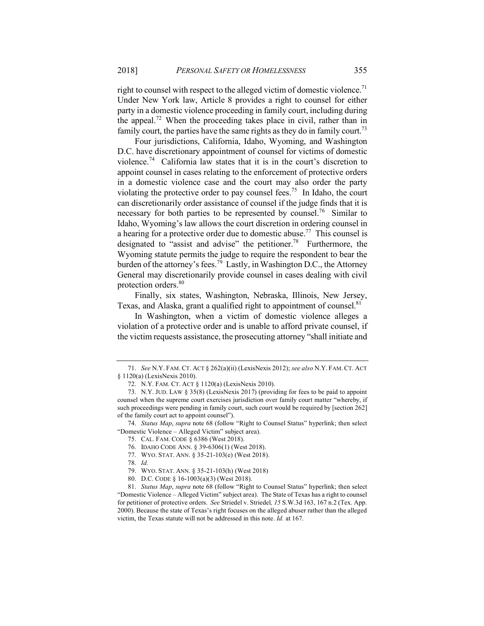right to counsel with respect to the alleged victim of domestic violence.<sup>71</sup> Under New York law, Article 8 provides a right to counsel for either party in a domestic violence proceeding in family court, including during the appeal.<sup>72</sup> When the proceeding takes place in civil, rather than in family court, the parties have the same rights as they do in family court.<sup>73</sup>

Four jurisdictions, California, Idaho, Wyoming, and Washington D.C. have discretionary appointment of counsel for victims of domestic violence.<sup>74</sup> California law states that it is in the court's discretion to appoint counsel in cases relating to the enforcement of protective orders in a domestic violence case and the court may also order the party violating the protective order to pay counsel fees.<sup>75</sup> In Idaho, the court can discretionarily order assistance of counsel if the judge finds that it is necessary for both parties to be represented by counsel.<sup>76</sup> Similar to Idaho, Wyoming's law allows the court discretion in ordering counsel in a hearing for a protective order due to domestic abuse.<sup>77</sup> This counsel is designated to "assist and advise" the petitioner.<sup>78</sup> Furthermore, the Wyoming statute permits the judge to require the respondent to bear the burden of the attorney's fees.<sup>79</sup> Lastly, in Washington D.C., the Attorney General may discretionarily provide counsel in cases dealing with civil protection orders.<sup>80</sup>

Finally, six states, Washington, Nebraska, Illinois, New Jersey, Texas, and Alaska, grant a qualified right to appointment of counsel.<sup>81</sup>

In Washington, when a victim of domestic violence alleges a violation of a protective order and is unable to afford private counsel, if the victim requests assistance, the prosecuting attorney "shall initiate and

80. D.C. CODE § 16-1003(a)(3) (West 2018).

<sup>71.</sup> *See* N.Y. FAM. CT. ACT § 262(a)(ii) (LexisNexis 2012); *see also* N.Y. FAM. CT. ACT § 1120(a) (LexisNexis 2010).

<sup>72.</sup> N.Y. FAM. CT. ACT § 1120(a) (LexisNexis 2010).

<sup>73.</sup> N.Y. JUD. LAW § 35(8) (LexisNexis 2017) (providing for fees to be paid to appoint counsel when the supreme court exercises jurisdiction over family court matter "whereby, if such proceedings were pending in family court, such court would be required by [section 262] of the family court act to appoint counsel").

<sup>74.</sup> *Status Map*, *supra* note 68 (follow "Right to Counsel Status" hyperlink; then select "Domestic Violence – Alleged Victim" subject area).

<sup>75.</sup> CAL. FAM. CODE § 6386 (West 2018).

<sup>76.</sup> IDAHO CODE ANN. § 39-6306(1) (West 2018).

<sup>77.</sup> WYO. STAT. ANN. § 35-21-103(e) (West 2018).

<sup>78.</sup> *Id.*

<sup>79.</sup> WYO. STAT. ANN. § 35-21-103(h) (West 2018)

<sup>81.</sup> *Status Map*, *supra* note 68 (follow "Right to Counsel Status" hyperlink; then select "Domestic Violence – Alleged Victim" subject area). The State of Texas has a right to counsel for petitioner of protective orders. *See* Striedel v. Striedel*, 15* S.W.3d 163, 167 n.2 (Tex. App. 2000). Because the state of Texas's right focuses on the alleged abuser rather than the alleged victim, the Texas statute will not be addressed in this note. *Id.* at 167.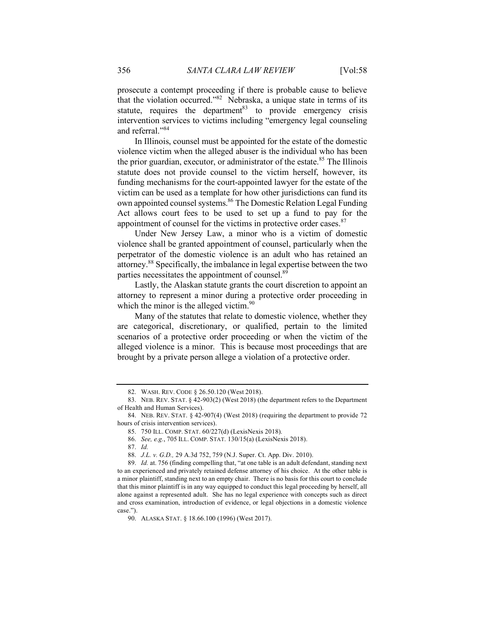prosecute a contempt proceeding if there is probable cause to believe that the violation occurred."82 Nebraska, a unique state in terms of its statute, requires the department<sup>83</sup> to provide emergency crisis intervention services to victims including "emergency legal counseling and referral."<sup>84</sup>

In Illinois, counsel must be appointed for the estate of the domestic violence victim when the alleged abuser is the individual who has been the prior guardian, executor, or administrator of the estate.<sup>85</sup> The Illinois statute does not provide counsel to the victim herself, however, its funding mechanisms for the court-appointed lawyer for the estate of the victim can be used as a template for how other jurisdictions can fund its own appointed counsel systems.<sup>86</sup> The Domestic Relation Legal Funding Act allows court fees to be used to set up a fund to pay for the appointment of counsel for the victims in protective order cases.<sup>87</sup>

Under New Jersey Law, a minor who is a victim of domestic violence shall be granted appointment of counsel, particularly when the perpetrator of the domestic violence is an adult who has retained an attorney.<sup>88</sup> Specifically, the imbalance in legal expertise between the two parties necessitates the appointment of counsel.<sup>89</sup>

Lastly, the Alaskan statute grants the court discretion to appoint an attorney to represent a minor during a protective order proceeding in which the minor is the alleged victim. $90$ 

Many of the statutes that relate to domestic violence, whether they are categorical, discretionary, or qualified, pertain to the limited scenarios of a protective order proceeding or when the victim of the alleged violence is a minor. This is because most proceedings that are brought by a private person allege a violation of a protective order.

<sup>82.</sup> WASH. REV. CODE § 26.50.120 (West 2018).

<sup>83.</sup> NEB. REV. STAT. § 42-903(2) (West 2018) (the department refers to the Department of Health and Human Services).

<sup>84.</sup> NEB. REV. STAT. § 42-907(4) (West 2018) (requiring the department to provide 72 hours of crisis intervention services).

<sup>85.</sup> 750 ILL. COMP. STAT. 60/227(d) (LexisNexis 2018).

<sup>86.</sup> *See, e.g.*, 705 ILL. COMP. STAT. 130/15(a) (LexisNexis 2018).

<sup>87.</sup> *Id.*

<sup>88.</sup> *J.L. v. G.D.,* 29 A.3d 752, 759 (N.J. Super. Ct. App. Div. 2010).

<sup>89.</sup> *Id.* at. 756 (finding compelling that, "at one table is an adult defendant, standing next to an experienced and privately retained defense attorney of his choice. At the other table is a minor plaintiff, standing next to an empty chair. There is no basis for this court to conclude that this minor plaintiff is in any way equipped to conduct this legal proceeding by herself, all alone against a represented adult. She has no legal experience with concepts such as direct and cross examination, introduction of evidence, or legal objections in a domestic violence case.").

<sup>90.</sup> ALASKA STAT. § 18.66.100 (1996) (West 2017).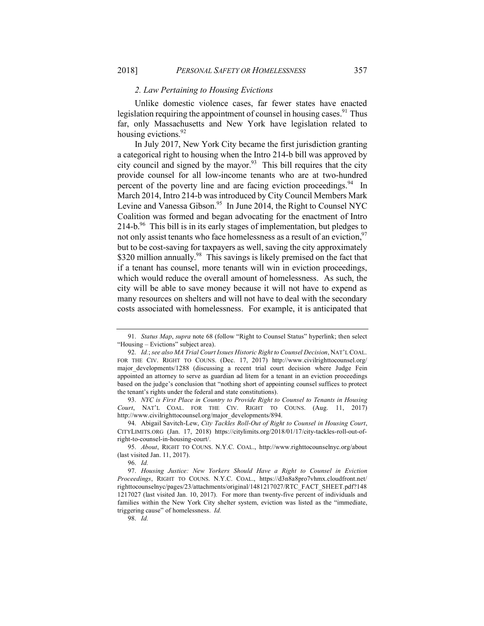#### *2. Law Pertaining to Housing Evictions*

Unlike domestic violence cases, far fewer states have enacted legislation requiring the appointment of counsel in housing cases.<sup>91</sup> Thus far, only Massachusetts and New York have legislation related to housing evictions.  $92$ 

In July 2017, New York City became the first jurisdiction granting a categorical right to housing when the Intro 214-b bill was approved by city council and signed by the mayor.<sup>93</sup> This bill requires that the city provide counsel for all low-income tenants who are at two-hundred percent of the poverty line and are facing eviction proceedings.<sup>94</sup> In March 2014, Intro 214-b was introduced by City Council Members Mark Levine and Vanessa Gibson.<sup>95</sup> In June 2014, the Right to Counsel NYC Coalition was formed and began advocating for the enactment of Intro 214-b.<sup>96</sup> This bill is in its early stages of implementation, but pledges to not only assist tenants who face homelessness as a result of an eviction,  $97$ but to be cost-saving for taxpayers as well, saving the city approximately \$320 million annually.<sup>98</sup> This savings is likely premised on the fact that if a tenant has counsel, more tenants will win in eviction proceedings, which would reduce the overall amount of homelessness. As such, the city will be able to save money because it will not have to expend as many resources on shelters and will not have to deal with the secondary costs associated with homelessness. For example, it is anticipated that

96. *Id.*

<sup>91.</sup> *Status Map*, *supra* note 68 (follow "Right to Counsel Status" hyperlink; then select "Housing – Evictions" subject area).

<sup>92.</sup> *Id.*; *see also MA Trial Court Issues Historic Right to Counsel Decision*, NAT'L COAL. FOR THE CIV. RIGHT TO COUNS. (Dec. 17, 2017) http://www.civilrighttocounsel.org/ major\_developments/1288 (discussing a recent trial court decision where Judge Fein appointed an attorney to serve as guardian ad litem for a tenant in an eviction proceedings based on the judge's conclusion that "nothing short of appointing counsel suffices to protect the tenant's rights under the federal and state constitutions).

<sup>93.</sup> *NYC is First Place in Country to Provide Right to Counsel to Tenants in Housing Court*, NAT'L COAL. FOR THE CIV. RIGHT TO COUNS. (Aug. 11, 2017) http://www.civilrighttocounsel.org/major\_developments/894.

<sup>94.</sup> Abigail Savitch-Lew, *City Tackles Roll-Out of Right to Counsel in Housing Court*, CITYLIMITS.ORG (Jan. 17, 2018) https://citylimits.org/2018/01/17/city-tackles-roll-out-ofright-to-counsel-in-housing-court/.

<sup>95.</sup> *About*, RIGHT TO COUNS. N.Y.C. COAL., http://www.righttocounselnyc.org/about (last visited Jan. 11, 2017).

<sup>97.</sup> *Housing Justice: New Yorkers Should Have a Right to Counsel in Eviction Proceedings*, RIGHT TO COUNS. N.Y.C. COAL., https://d3n8a8pro7vhmx.cloudfront.net/ righttocounselnyc/pages/23/attachments/original/1481217027/RTC\_FACT\_SHEET.pdf?148 1217027 (last visited Jan. 10, 2017). For more than twenty-five percent of individuals and families within the New York City shelter system, eviction was listed as the "immediate, triggering cause" of homelessness. *Id.*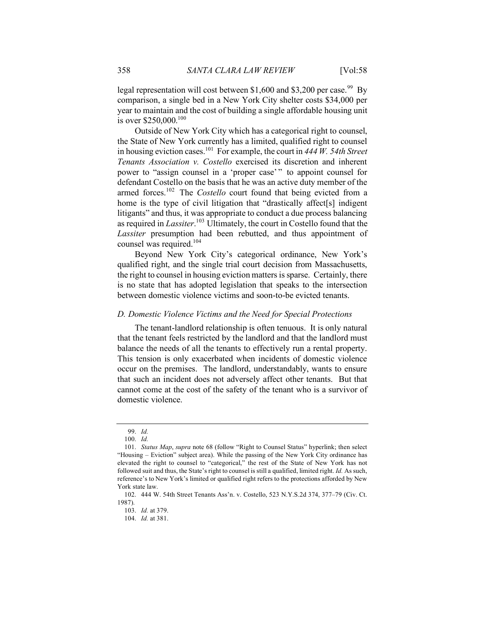legal representation will cost between \$1,600 and \$3,200 per case.<sup>99</sup> Bv comparison, a single bed in a New York City shelter costs \$34,000 per year to maintain and the cost of building a single affordable housing unit is over \$250,000.100

Outside of New York City which has a categorical right to counsel, the State of New York currently has a limited, qualified right to counsel in housing eviction cases.101 For example, the court in *444 W. 54th Street Tenants Association v. Costello* exercised its discretion and inherent power to "assign counsel in a 'proper case'" to appoint counsel for defendant Costello on the basis that he was an active duty member of the armed forces.<sup>102</sup> The *Costello* court found that being evicted from a home is the type of civil litigation that "drastically affect[s] indigent litigants" and thus, it was appropriate to conduct a due process balancing as required in *Lassiter*. <sup>103</sup> Ultimately, the court in Costello found that the *Lassiter* presumption had been rebutted, and thus appointment of counsel was required.<sup>104</sup>

Beyond New York City's categorical ordinance, New York's qualified right, and the single trial court decision from Massachusetts, the right to counsel in housing eviction matters is sparse. Certainly, there is no state that has adopted legislation that speaks to the intersection between domestic violence victims and soon-to-be evicted tenants.

#### *D. Domestic Violence Victims and the Need for Special Protections*

The tenant-landlord relationship is often tenuous. It is only natural that the tenant feels restricted by the landlord and that the landlord must balance the needs of all the tenants to effectively run a rental property. This tension is only exacerbated when incidents of domestic violence occur on the premises. The landlord, understandably, wants to ensure that such an incident does not adversely affect other tenants. But that cannot come at the cost of the safety of the tenant who is a survivor of domestic violence.

<sup>99.</sup> *Id.*

<sup>100.</sup> *Id.*

<sup>101.</sup> *Status Map*, *supra* note 68 (follow "Right to Counsel Status" hyperlink; then select "Housing – Eviction" subject area). While the passing of the New York City ordinance has elevated the right to counsel to "categorical," the rest of the State of New York has not followed suit and thus, the State's right to counsel is still a qualified, limited right. *Id.* As such, reference's to New York's limited or qualified right refers to the protections afforded by New York state law.

<sup>102.</sup> 444 W. 54th Street Tenants Ass'n. v. Costello, 523 N.Y.S.2d 374, 377–79 (Civ. Ct. 1987).

<sup>103.</sup> *Id.* at 379.

<sup>104.</sup> *Id.* at 381.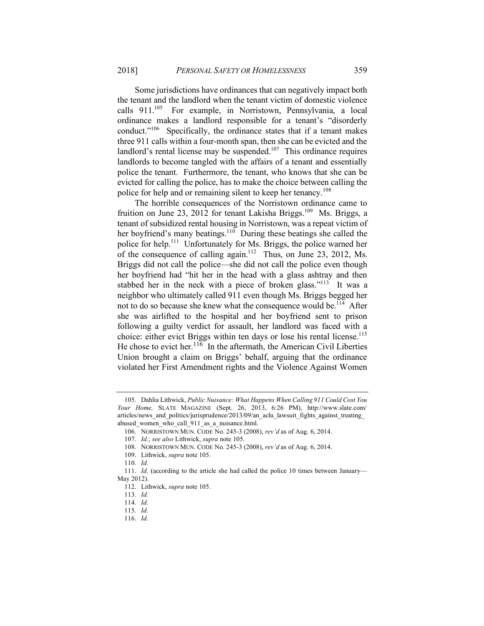Some jurisdictions have ordinances that can negatively impact both the tenant and the landlord when the tenant victim of domestic violence calls 911.105 For example, in Norristown, Pennsylvania, a local ordinance makes a landlord responsible for a tenant's "disorderly conduct."106 Specifically, the ordinance states that if a tenant makes three 911 calls within a four-month span, then she can be evicted and the landlord's rental license may be suspended.<sup>107</sup> This ordinance requires landlords to become tangled with the affairs of a tenant and essentially police the tenant. Furthermore, the tenant, who knows that she can be evicted for calling the police, has to make the choice between calling the police for help and or remaining silent to keep her tenancy.<sup>108</sup>

The horrible consequences of the Norristown ordinance came to fruition on June 23, 2012 for tenant Lakisha Briggs.<sup>109</sup> Ms. Briggs, a tenant of subsidized rental housing in Norristown, was a repeat victim of her boyfriend's many beatings.<sup>110</sup> During these beatings she called the police for help.111 Unfortunately for Ms. Briggs, the police warned her of the consequence of calling again.<sup>112</sup> Thus, on June 23, 2012, Ms. Briggs did not call the police—she did not call the police even though her boyfriend had "hit her in the head with a glass ashtray and then stabbed her in the neck with a piece of broken glass." $113$  It was a neighbor who ultimately called 911 even though Ms. Briggs begged her not to do so because she knew what the consequence would be.<sup>114</sup> After she was airlifted to the hospital and her boyfriend sent to prison following a guilty verdict for assault, her landlord was faced with a choice: either evict Briggs within ten days or lose his rental license.<sup>115</sup> He chose to evict her.<sup>116</sup> In the aftermath, the American Civil Liberties Union brought a claim on Briggs' behalf, arguing that the ordinance violated her First Amendment rights and the Violence Against Women

<sup>105.</sup> Dahlia Lithwick, *Public Nuisance: What Happens When Calling 911 Could Cost You Your Home,* SLATE MAGAZINE (Sept. 26, 2013, 6:26 PM), http://www.slate.com/ articles/news\_and\_politics/jurisprudence/2013/09/an\_aclu\_lawsuit\_fights\_against\_treating\_ abused women who call 911 as a nuisance.html.

<sup>106.</sup> NORRISTOWN MUN. CODE No. 245-3 (2008), *rev'd* as of Aug. 6, 2014.

<sup>107.</sup> *Id.*; *see also* Lithwick, *supra* note 105.

<sup>108.</sup> NORRISTOWN MUN. CODE No. 245-3 (2008), *rev'd* as of Aug. 6, 2014.

<sup>109.</sup> Lithwick, *supra* note 105.

<sup>110.</sup> *Id.*

<sup>111.</sup> *Id.* (according to the article she had called the police 10 times between January— May 2012).

<sup>112.</sup> Lithwick, *supra* note 105.

<sup>113.</sup> *Id.*

<sup>114.</sup> *Id.*

<sup>115.</sup> *Id.*

<sup>116.</sup> *Id.*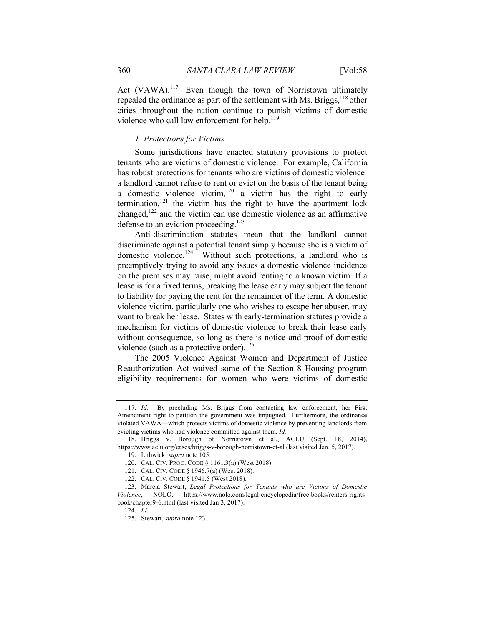Act  $(VAWA)^{117}$  Even though the town of Norristown ultimately repealed the ordinance as part of the settlement with Ms. Briggs,  $118$  other cities throughout the nation continue to punish victims of domestic violence who call law enforcement for help. $119$ 

## *1. Protections for Victims*

Some jurisdictions have enacted statutory provisions to protect tenants who are victims of domestic violence. For example, California has robust protections for tenants who are victims of domestic violence: a landlord cannot refuse to rent or evict on the basis of the tenant being a domestic violence victim,<sup>120</sup> a victim has the right to early termination, $121$  the victim has the right to have the apartment lock changed,<sup>122</sup> and the victim can use domestic violence as an affirmative defense to an eviction proceeding. 123

Anti-discrimination statutes mean that the landlord cannot discriminate against a potential tenant simply because she is a victim of domestic violence.<sup>124</sup> Without such protections, a landlord who is preemptively trying to avoid any issues a domestic violence incidence on the premises may raise, might avoid renting to a known victim. If a lease is for a fixed terms, breaking the lease early may subject the tenant to liability for paying the rent for the remainder of the term. A domestic violence victim, particularly one who wishes to escape her abuser, may want to break her lease. States with early-termination statutes provide a mechanism for victims of domestic violence to break their lease early without consequence, so long as there is notice and proof of domestic violence (such as a protective order).<sup>125</sup>

The 2005 Violence Against Women and Department of Justice Reauthorization Act waived some of the Section 8 Housing program eligibility requirements for women who were victims of domestic

<sup>117.</sup> *Id.* By precluding Ms. Briggs from contacting law enforcement, her First Amendment right to petition the government was impugned. Furthermore, the ordinance violated VAWA—which protects victims of domestic violence by preventing landlords from evicting victims who had violence committed against them. *Id.* 

<sup>118.</sup> Briggs v. Borough of Norristown et al., ACLU (Sept. 18, 2014), https://www.aclu.org/cases/briggs-v-borough-norristown-et-al (last visited Jan. 5, 2017).

<sup>119.</sup> Lithwick, *supra* note 105.

<sup>120.</sup> CAL. CIV. PROC. CODE § 1161.3(a) (West 2018).

<sup>121.</sup> CAL. CIV. CODE § 1946.7(a) (West 2018).

<sup>122.</sup> CAL. CIV. CODE § 1941.5 (West 2018).

<sup>123.</sup> Marcia Stewart, *Legal Protections for Tenants who are Victims of Domestic Violence*, NOLO, https://www.nolo.com/legal-encyclopedia/free-books/renters-rightsbook/chapter9-6.html (last visited Jan 3, 2017).

<sup>124.</sup> *Id.*

<sup>125.</sup> Stewart, *supra* note 123.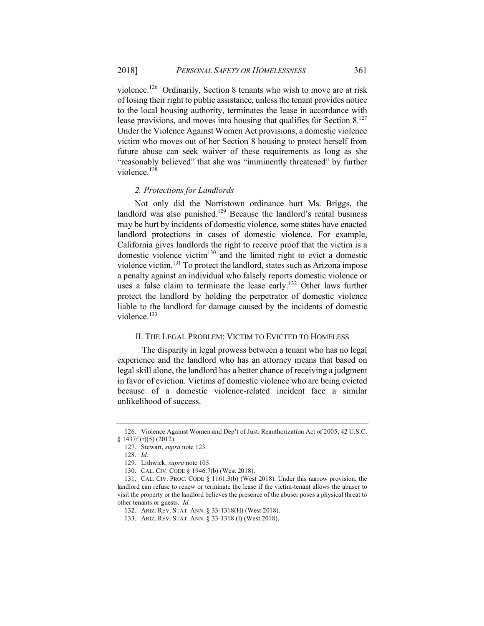violence.<sup>126</sup> Ordinarily, Section 8 tenants who wish to move are at risk of losing their right to public assistance, unless the tenant provides notice to the local housing authority, terminates the lease in accordance with lease provisions, and moves into housing that qualifies for Section  $8^{127}$ Under the Violence Against Women Act provisions, a domestic violence victim who moves out of her Section 8 housing to protect herself from future abuse can seek waiver of these requirements as long as she "reasonably believed" that she was "imminently threatened" by further violence<sup>128</sup>

#### *2. Protections for Landlords*

Not only did the Norristown ordinance hurt Ms. Briggs, the landlord was also punished.<sup>129</sup> Because the landlord's rental business may be hurt by incidents of domestic violence, some states have enacted landlord protections in cases of domestic violence. For example, California gives landlords the right to receive proof that the victim is a domestic violence victim<sup>130</sup> and the limited right to evict a domestic violence victim.131 To protect the landlord, states such as Arizona impose a penalty against an individual who falsely reports domestic violence or uses a false claim to terminate the lease early.<sup>132</sup> Other laws further protect the landlord by holding the perpetrator of domestic violence liable to the landlord for damage caused by the incidents of domestic violence.<sup>133</sup>

#### II. THE LEGAL PROBLEM: VICTIM TO EVICTED TO HOMELESS

The disparity in legal prowess between a tenant who has no legal experience and the landlord who has an attorney means that based on legal skill alone, the landlord has a better chance of receiving a judgment in favor of eviction. Victims of domestic violence who are being evicted because of a domestic violence-related incident face a similar unlikelihood of success.

<sup>126.</sup> Violence Against Women and Dep't of Just. Reauthorization Act of 2005, 42 U.S.C. § 1437f (r)(5) (2012).

<sup>127.</sup> Stewart, *supra* note 123.

<sup>128.</sup> *Id.*

<sup>129.</sup> Lithwick, *supra* note 105.

<sup>130.</sup> CAL. CIV. CODE § 1946.7(b) (West 2018).

<sup>131.</sup> CAL. CIV. PROC. CODE § 1161.3(b) (West 2018). Under this narrow provision, the landlord can refuse to renew or terminate the lease if the victim-tenant allows the abuser to visit the property or the landlord believes the presence of the abuser poses a physical threat to other tenants or guests. *Id.* 

<sup>132.</sup> ARIZ. REV. STAT. ANN. § 33-1318(H) (West 2018).

<sup>133.</sup> ARIZ. REV. STAT. ANN. § 33-1318 (I) (West 2018).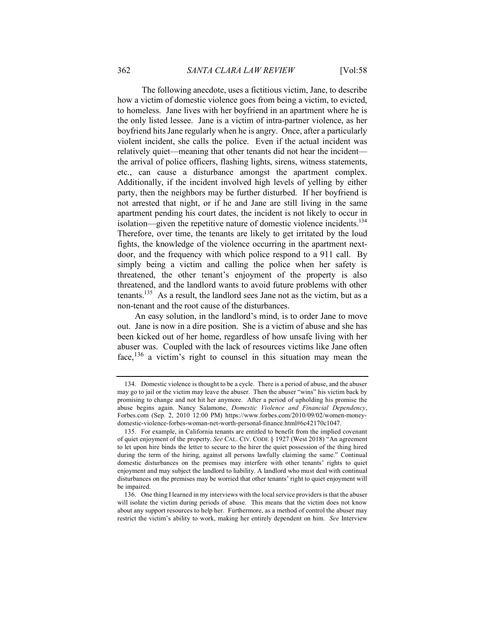The following anecdote, uses a fictitious victim, Jane, to describe how a victim of domestic violence goes from being a victim, to evicted, to homeless. Jane lives with her boyfriend in an apartment where he is the only listed lessee. Jane is a victim of intra-partner violence, as her boyfriend hits Jane regularly when he is angry. Once, after a particularly violent incident, she calls the police. Even if the actual incident was relatively quiet—meaning that other tenants did not hear the incident the arrival of police officers, flashing lights, sirens, witness statements, etc., can cause a disturbance amongst the apartment complex. Additionally, if the incident involved high levels of yelling by either party, then the neighbors may be further disturbed. If her boyfriend is not arrested that night, or if he and Jane are still living in the same apartment pending his court dates, the incident is not likely to occur in isolation—given the repetitive nature of domestic violence incidents.<sup>134</sup> Therefore, over time, the tenants are likely to get irritated by the loud fights, the knowledge of the violence occurring in the apartment nextdoor, and the frequency with which police respond to a 911 call. By simply being a victim and calling the police when her safety is threatened, the other tenant's enjoyment of the property is also threatened, and the landlord wants to avoid future problems with other tenants.<sup>135</sup> As a result, the landlord sees Jane not as the victim, but as a non-tenant and the root cause of the disturbances.

An easy solution, in the landlord's mind, is to order Jane to move out. Jane is now in a dire position. She is a victim of abuse and she has been kicked out of her home, regardless of how unsafe living with her abuser was. Coupled with the lack of resources victims like Jane often face,  $136$  a victim's right to counsel in this situation may mean the

<sup>134.</sup> Domestic violence is thought to be a cycle. There is a period of abuse, and the abuser may go to jail or the victim may leave the abuser. Then the abuser "wins" his victim back by promising to change and not hit her anymore. After a period of upholding his promise the abuse begins again. Nancy Salamone, *Domestic Violence and Financial Dependency*, Forbes.com (Sep. 2, 2010 12:00 PM) https://www.forbes.com/2010/09/02/women-moneydomestic-violence-forbes-woman-net-worth-personal-finance.html#6c42170c1047.

<sup>135.</sup> For example, in California tenants are entitled to benefit from the implied covenant of quiet enjoyment of the property. *See* CAL. CIV. CODE § 1927 (West 2018) "An agreement to let upon hire binds the letter to secure to the hirer the quiet possession of the thing hired during the term of the hiring, against all persons lawfully claiming the same." Continual domestic disturbances on the premises may interfere with other tenants' rights to quiet enjoyment and may subject the landlord to liability. A landlord who must deal with continual disturbances on the premises may be worried that other tenants' right to quiet enjoyment will be impaired.

<sup>136.</sup> One thing I learned in my interviews with the local service providers is that the abuser will isolate the victim during periods of abuse. This means that the victim does not know about any support resources to help her. Furthermore, as a method of control the abuser may restrict the victim's ability to work, making her entirely dependent on him. *See* Interview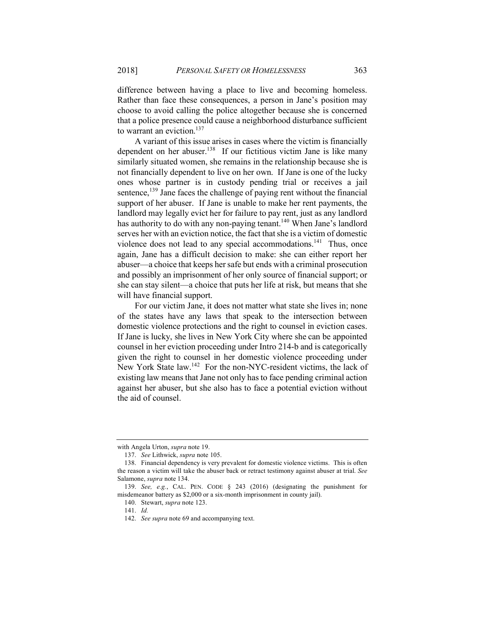difference between having a place to live and becoming homeless. Rather than face these consequences, a person in Jane's position may choose to avoid calling the police altogether because she is concerned that a police presence could cause a neighborhood disturbance sufficient to warrant an eviction.<sup>137</sup>

A variant of this issue arises in cases where the victim is financially dependent on her abuser.<sup>138</sup> If our fictitious victim Jane is like many similarly situated women, she remains in the relationship because she is not financially dependent to live on her own. If Jane is one of the lucky ones whose partner is in custody pending trial or receives a jail sentence, $139$  Jane faces the challenge of paying rent without the financial support of her abuser. If Jane is unable to make her rent payments, the landlord may legally evict her for failure to pay rent, just as any landlord has authority to do with any non-paying tenant.<sup>140</sup> When Jane's landlord serves her with an eviction notice, the fact that she is a victim of domestic violence does not lead to any special accommodations.<sup>141</sup> Thus, once again, Jane has a difficult decision to make: she can either report her abuser—a choice that keeps her safe but ends with a criminal prosecution and possibly an imprisonment of her only source of financial support; or she can stay silent—a choice that puts her life at risk, but means that she will have financial support.

For our victim Jane, it does not matter what state she lives in; none of the states have any laws that speak to the intersection between domestic violence protections and the right to counsel in eviction cases. If Jane is lucky, she lives in New York City where she can be appointed counsel in her eviction proceeding under Intro 214-b and is categorically given the right to counsel in her domestic violence proceeding under New York State law.<sup>142</sup> For the non-NYC-resident victims, the lack of existing law means that Jane not only has to face pending criminal action against her abuser, but she also has to face a potential eviction without the aid of counsel.

with Angela Urton, *supra* note 19.

<sup>137.</sup> *See* Lithwick, *supra* note 105.

<sup>138.</sup> Financial dependency is very prevalent for domestic violence victims. This is often the reason a victim will take the abuser back or retract testimony against abuser at trial. *See*  Salamone, *supra* note 134.

<sup>139.</sup> *See, e.g.*, CAL. PEN. CODE § 243 (2016) (designating the punishment for misdemeanor battery as \$2,000 or a six-month imprisonment in county jail).

<sup>140.</sup> Stewart, *supra* note 123.

<sup>141.</sup> *Id.*

<sup>142.</sup> *See supra* note 69 and accompanying text.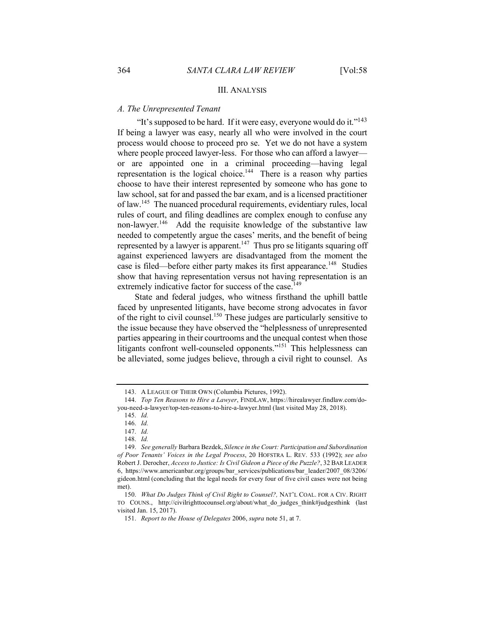#### III. ANALYSIS

#### *A. The Unrepresented Tenant*

"It's supposed to be hard. If it were easy, everyone would do it."<sup>143</sup> If being a lawyer was easy, nearly all who were involved in the court process would choose to proceed pro se. Yet we do not have a system where people proceed lawyer-less. For those who can afford a lawyer or are appointed one in a criminal proceeding—having legal representation is the logical choice.<sup>144</sup> There is a reason why parties choose to have their interest represented by someone who has gone to law school, sat for and passed the bar exam, and is a licensed practitioner of law.145 The nuanced procedural requirements, evidentiary rules, local rules of court, and filing deadlines are complex enough to confuse any non-lawyer.<sup>146</sup> Add the requisite knowledge of the substantive law needed to competently argue the cases' merits, and the benefit of being represented by a lawyer is apparent.<sup>147</sup> Thus pro se litigants squaring off against experienced lawyers are disadvantaged from the moment the case is filed—before either party makes its first appearance.<sup>148</sup> Studies show that having representation versus not having representation is an extremely indicative factor for success of the case.<sup>149</sup>

State and federal judges, who witness firsthand the uphill battle faced by unpresented litigants, have become strong advocates in favor of the right to civil counsel.150 These judges are particularly sensitive to the issue because they have observed the "helplessness of unrepresented parties appearing in their courtrooms and the unequal contest when those litigants confront well-counseled opponents."<sup>151</sup> This helplessness can be alleviated, some judges believe, through a civil right to counsel. As

<sup>143.</sup> A LEAGUE OF THEIR OWN (Columbia Pictures, 1992).

<sup>144.</sup> *Top Ten Reasons to Hire a Lawyer*, FINDLAW, https://hirealawyer.findlaw.com/doyou-need-a-lawyer/top-ten-reasons-to-hire-a-lawyer.html (last visited May 28, 2018).

<sup>145.</sup> *Id.*

<sup>146.</sup> *Id.*

<sup>147.</sup> *Id.*

<sup>148.</sup> *Id.*

<sup>149.</sup> *See generally* Barbara Bezdek, *Silence in the Court: Participation and Subordination of Poor Tenants' Voices in the Legal Process*, 20 HOFSTRA L. REV. 533 (1992); *see also* Robert J. Derocher, *Access to Justice: Is Civil Gideon a Piece of the Puzzle?*, 32 BAR LEADER 6, https://www.americanbar.org/groups/bar\_services/publications/bar\_leader/2007\_08/3206/ gideon.html (concluding that the legal needs for every four of five civil cases were not being met).

<sup>150.</sup> *What Do Judges Think of Civil Right to Counsel?,* NAT'L COAL. FOR A CIV. RIGHT TO COUNS., http://civilrighttocounsel.org/about/what\_do\_judges\_think#judgesthink (last visited Jan. 15, 2017).

<sup>151.</sup> *Report to the House of Delegates* 2006, *supra* note 51, at 7.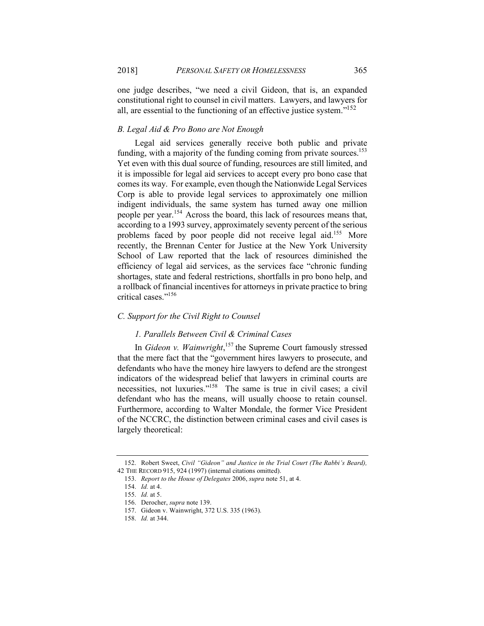one judge describes, "we need a civil Gideon, that is, an expanded constitutional right to counsel in civil matters. Lawyers, and lawyers for all, are essential to the functioning of an effective justice system."152

## *B. Legal Aid & Pro Bono are Not Enough*

Legal aid services generally receive both public and private funding, with a majority of the funding coming from private sources.<sup>153</sup> Yet even with this dual source of funding, resources are still limited, and it is impossible for legal aid services to accept every pro bono case that comes its way. For example, even though the Nationwide Legal Services Corp is able to provide legal services to approximately one million indigent individuals, the same system has turned away one million people per year.<sup>154</sup> Across the board, this lack of resources means that, according to a 1993 survey, approximately seventy percent of the serious problems faced by poor people did not receive legal aid.155 More recently, the Brennan Center for Justice at the New York University School of Law reported that the lack of resources diminished the efficiency of legal aid services, as the services face "chronic funding shortages, state and federal restrictions, shortfalls in pro bono help, and a rollback of financial incentives for attorneys in private practice to bring critical cases."156

## *C. Support for the Civil Right to Counsel*

#### *1. Parallels Between Civil & Criminal Cases*

In *Gideon v. Wainwright*, <sup>157</sup> the Supreme Court famously stressed that the mere fact that the "government hires lawyers to prosecute, and defendants who have the money hire lawyers to defend are the strongest indicators of the widespread belief that lawyers in criminal courts are necessities, not luxuries."<sup>158</sup> The same is true in civil cases; a civil defendant who has the means, will usually choose to retain counsel. Furthermore, according to Walter Mondale, the former Vice President of the NCCRC, the distinction between criminal cases and civil cases is largely theoretical:

<sup>152.</sup> Robert Sweet, *Civil "Gideon" and Justice in the Trial Court (The Rabbi's Beard),* 42 THE RECORD 915, 924 (1997) (internal citations omitted).

<sup>153.</sup> *Report to the House of Delegates* 2006, *supra* note 51, at 4.

<sup>154.</sup> *Id.* at 4.

<sup>155.</sup> *Id.* at 5.

<sup>156.</sup> Derocher, *supra* note 139.

<sup>157.</sup> Gideon v. Wainwright, 372 U.S. 335 (1963).

<sup>158.</sup> *Id.* at 344.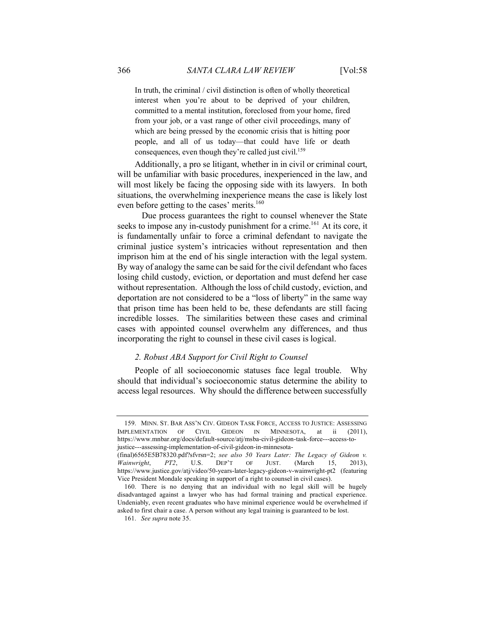In truth, the criminal / civil distinction is often of wholly theoretical interest when you're about to be deprived of your children, committed to a mental institution, foreclosed from your home, fired from your job, or a vast range of other civil proceedings, many of which are being pressed by the economic crisis that is hitting poor people, and all of us today—that could have life or death consequences, even though they're called just civil.<sup>159</sup>

Additionally, a pro se litigant, whether in in civil or criminal court, will be unfamiliar with basic procedures, inexperienced in the law, and will most likely be facing the opposing side with its lawyers. In both situations, the overwhelming inexperience means the case is likely lost even before getting to the cases' merits.<sup>160</sup>

Due process guarantees the right to counsel whenever the State seeks to impose any in-custody punishment for a crime.<sup>161</sup> At its core, it is fundamentally unfair to force a criminal defendant to navigate the criminal justice system's intricacies without representation and then imprison him at the end of his single interaction with the legal system. By way of analogy the same can be said for the civil defendant who faces losing child custody, eviction, or deportation and must defend her case without representation. Although the loss of child custody, eviction, and deportation are not considered to be a "loss of liberty" in the same way that prison time has been held to be, these defendants are still facing incredible losses. The similarities between these cases and criminal cases with appointed counsel overwhelm any differences, and thus incorporating the right to counsel in these civil cases is logical.

## *2. Robust ABA Support for Civil Right to Counsel*

People of all socioeconomic statuses face legal trouble. Why should that individual's socioeconomic status determine the ability to access legal resources. Why should the difference between successfully

<sup>159.</sup> MINN. ST. BAR ASS'N CIV. GIDEON TASK FORCE, ACCESS TO JUSTICE: ASSESSING IMPLEMENTATION OF CIVIL GIDEON IN MINNESOTA, at ii (2011), https://www.mnbar.org/docs/default-source/atj/msba-civil-gideon-task-force---access-tojustice---assessing-implementation-of-civil-gideon-in-minnesota- (final)6565E5B78320.pdf?sfvrsn=2; *see also 50 Years Later: The Legacy of Gideon v.* 

*Wainwright*, *PT2*, U.S. DEP'T OF JUST. (March 15, 2013), https://www.justice.gov/atj/video/50-years-later-legacy-gideon-v-wainwright-pt2 (featuring Vice President Mondale speaking in support of a right to counsel in civil cases).

<sup>160.</sup> There is no denying that an individual with no legal skill will be hugely disadvantaged against a lawyer who has had formal training and practical experience. Undeniably, even recent graduates who have minimal experience would be overwhelmed if asked to first chair a case. A person without any legal training is guaranteed to be lost.

<sup>161.</sup> *See supra* note 35.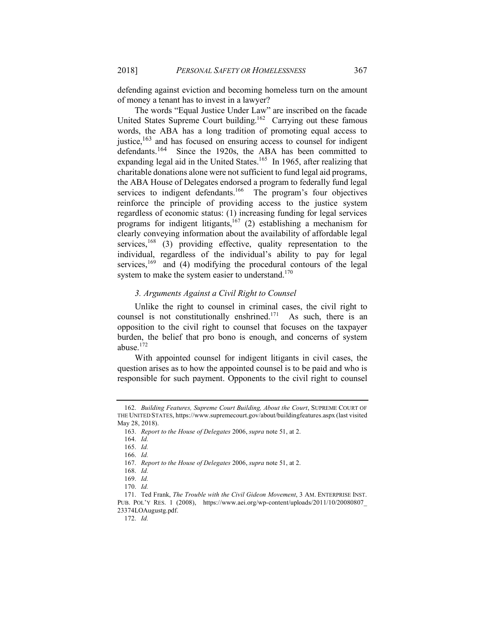defending against eviction and becoming homeless turn on the amount of money a tenant has to invest in a lawyer?

The words "Equal Justice Under Law" are inscribed on the facade United States Supreme Court building.<sup>162</sup> Carrying out these famous words, the ABA has a long tradition of promoting equal access to justice, $163$  and has focused on ensuring access to counsel for indigent defendants.<sup>164</sup> Since the 1920s, the ABA has been committed to expanding legal aid in the United States.<sup>165</sup> In 1965, after realizing that charitable donations alone were not sufficient to fund legal aid programs, the ABA House of Delegates endorsed a program to federally fund legal services to indigent defendants.<sup>166</sup> The program's four objectives reinforce the principle of providing access to the justice system regardless of economic status: (1) increasing funding for legal services programs for indigent litigants,<sup>167</sup> (2) establishing a mechanism for clearly conveying information about the availability of affordable legal services,  $168$  (3) providing effective, quality representation to the individual, regardless of the individual's ability to pay for legal services,  $169$  and (4) modifying the procedural contours of the legal system to make the system easier to understand.<sup>170</sup>

## *3. Arguments Against a Civil Right to Counsel*

Unlike the right to counsel in criminal cases, the civil right to counsel is not constitutionally enshrined.<sup>171</sup> As such, there is an opposition to the civil right to counsel that focuses on the taxpayer burden, the belief that pro bono is enough, and concerns of system abuse. $172$ 

With appointed counsel for indigent litigants in civil cases, the question arises as to how the appointed counsel is to be paid and who is responsible for such payment. Opponents to the civil right to counsel

172. *Id.*

<sup>162.</sup> *Building Features, Supreme Court Building, About the Court*, SUPREME COURT OF THE UNITED STATES, https://www.supremecourt.gov/about/buildingfeatures.aspx (last visited May 28, 2018).

<sup>163.</sup> *Report to the House of Delegates* 2006, *supra* note 51, at 2.

<sup>164.</sup> *Id.*

<sup>165.</sup> *Id.*

<sup>166.</sup> *Id.*

<sup>167.</sup> *Report to the House of Delegates* 2006, *supra* note 51, at 2.

<sup>168.</sup> *Id.*

<sup>169.</sup> *Id.*

<sup>170.</sup> *Id.*

<sup>171.</sup> Ted Frank, *The Trouble with the Civil Gideon Movement*, 3 AM. ENTERPRISE INST. PUB. POL'Y RES. 1 (2008), https://www.aei.org/wp-content/uploads/2011/10/20080807\_ 23374LOAugustg.pdf.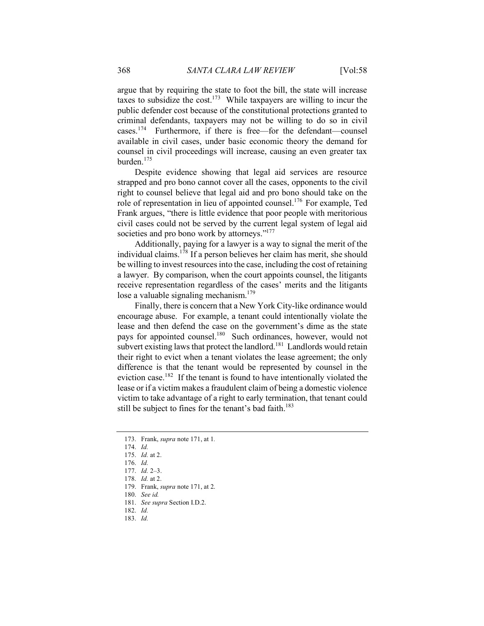argue that by requiring the state to foot the bill, the state will increase taxes to subsidize the  $cost^{173}$  While taxpayers are willing to incur the public defender cost because of the constitutional protections granted to criminal defendants, taxpayers may not be willing to do so in civil cases.<sup>174</sup> Furthermore, if there is free—for the defendant—counsel available in civil cases, under basic economic theory the demand for counsel in civil proceedings will increase, causing an even greater tax burden. 175

Despite evidence showing that legal aid services are resource strapped and pro bono cannot cover all the cases, opponents to the civil right to counsel believe that legal aid and pro bono should take on the role of representation in lieu of appointed counsel.<sup>176</sup> For example, Ted Frank argues, "there is little evidence that poor people with meritorious civil cases could not be served by the current legal system of legal aid societies and pro bono work by attorneys."<sup>177</sup>

Additionally, paying for a lawyer is a way to signal the merit of the individual claims. <sup>178</sup> If a person believes her claim has merit, she should be willing to invest resources into the case, including the cost of retaining a lawyer. By comparison, when the court appoints counsel, the litigants receive representation regardless of the cases' merits and the litigants lose a valuable signaling mechanism.<sup>179</sup>

Finally, there is concern that a New York City-like ordinance would encourage abuse. For example, a tenant could intentionally violate the lease and then defend the case on the government's dime as the state pays for appointed counsel.<sup>180</sup> Such ordinances, however, would not subvert existing laws that protect the landlord.<sup>181</sup> Landlords would retain their right to evict when a tenant violates the lease agreement; the only difference is that the tenant would be represented by counsel in the eviction case.<sup>182</sup> If the tenant is found to have intentionally violated the lease or if a victim makes a fraudulent claim of being a domestic violence victim to take advantage of a right to early termination, that tenant could still be subject to fines for the tenant's bad faith.<sup>183</sup>

- 181. *See supra* Section I.D.2.
- 182. *Id.*
- 183. *Id.*

<sup>173.</sup> Frank, *supra* note 171, at 1*.*

<sup>174.</sup> *Id.*

<sup>175.</sup> *Id.* at 2.

<sup>176.</sup> *Id.*

<sup>177.</sup> *Id.* 2–3.

<sup>178.</sup> *Id.* at 2.

<sup>179.</sup> Frank, *supra* note 171, at 2.

<sup>180.</sup> *See id.*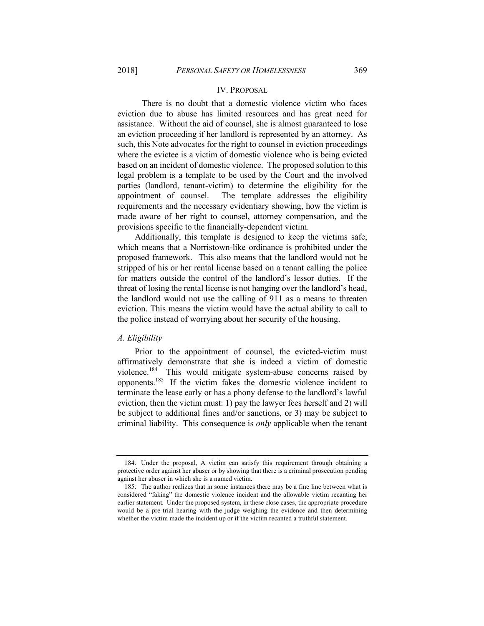#### IV. PROPOSAL

There is no doubt that a domestic violence victim who faces eviction due to abuse has limited resources and has great need for assistance. Without the aid of counsel, she is almost guaranteed to lose an eviction proceeding if her landlord is represented by an attorney. As such, this Note advocates for the right to counsel in eviction proceedings where the evictee is a victim of domestic violence who is being evicted based on an incident of domestic violence. The proposed solution to this legal problem is a template to be used by the Court and the involved parties (landlord, tenant-victim) to determine the eligibility for the appointment of counsel. The template addresses the eligibility requirements and the necessary evidentiary showing, how the victim is made aware of her right to counsel, attorney compensation, and the provisions specific to the financially-dependent victim.

Additionally, this template is designed to keep the victims safe, which means that a Norristown-like ordinance is prohibited under the proposed framework. This also means that the landlord would not be stripped of his or her rental license based on a tenant calling the police for matters outside the control of the landlord's lessor duties. If the threat of losing the rental license is not hanging over the landlord's head, the landlord would not use the calling of 911 as a means to threaten eviction. This means the victim would have the actual ability to call to the police instead of worrying about her security of the housing.

#### *A. Eligibility*

Prior to the appointment of counsel, the evicted-victim must affirmatively demonstrate that she is indeed a victim of domestic violence.<sup>184</sup> This would mitigate system-abuse concerns raised by opponents.185 If the victim fakes the domestic violence incident to terminate the lease early or has a phony defense to the landlord's lawful eviction, then the victim must: 1) pay the lawyer fees herself and 2) will be subject to additional fines and/or sanctions, or 3) may be subject to criminal liability. This consequence is *only* applicable when the tenant

<sup>184.</sup> Under the proposal, A victim can satisfy this requirement through obtaining a protective order against her abuser or by showing that there is a criminal prosecution pending against her abuser in which she is a named victim.

<sup>185.</sup> The author realizes that in some instances there may be a fine line between what is considered "faking" the domestic violence incident and the allowable victim recanting her earlier statement. Under the proposed system, in these close cases, the appropriate procedure would be a pre-trial hearing with the judge weighing the evidence and then determining whether the victim made the incident up or if the victim recanted a truthful statement.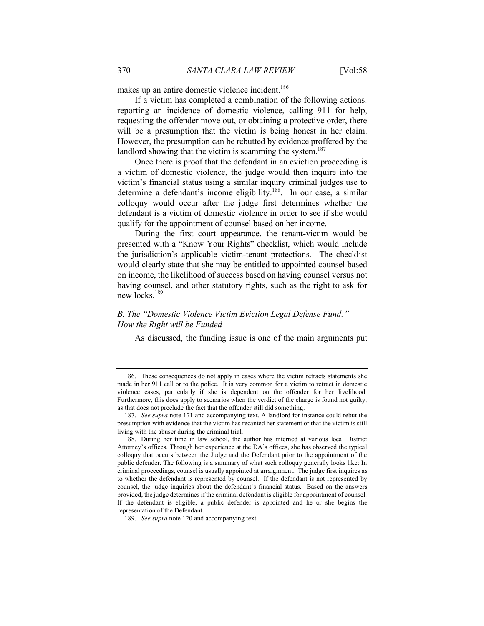makes up an entire domestic violence incident.<sup>186</sup>

If a victim has completed a combination of the following actions: reporting an incidence of domestic violence, calling 911 for help, requesting the offender move out, or obtaining a protective order, there will be a presumption that the victim is being honest in her claim. However, the presumption can be rebutted by evidence proffered by the landlord showing that the victim is scamming the system.<sup>187</sup>

Once there is proof that the defendant in an eviction proceeding is a victim of domestic violence, the judge would then inquire into the victim's financial status using a similar inquiry criminal judges use to determine a defendant's income eligibility.<sup>188</sup>. In our case, a similar colloquy would occur after the judge first determines whether the defendant is a victim of domestic violence in order to see if she would qualify for the appointment of counsel based on her income.

During the first court appearance, the tenant-victim would be presented with a "Know Your Rights" checklist, which would include the jurisdiction's applicable victim-tenant protections. The checklist would clearly state that she may be entitled to appointed counsel based on income, the likelihood of success based on having counsel versus not having counsel, and other statutory rights, such as the right to ask for new locks.189

# *B. The "Domestic Violence Victim Eviction Legal Defense Fund:" How the Right will be Funded*

As discussed, the funding issue is one of the main arguments put

<sup>186.</sup> These consequences do not apply in cases where the victim retracts statements she made in her 911 call or to the police. It is very common for a victim to retract in domestic violence cases, particularly if she is dependent on the offender for her livelihood. Furthermore, this does apply to scenarios when the verdict of the charge is found not guilty, as that does not preclude the fact that the offender still did something.

<sup>187.</sup> *See supra* note 171 and accompanying text. A landlord for instance could rebut the presumption with evidence that the victim has recanted her statement or that the victim is still living with the abuser during the criminal trial.

<sup>188.</sup> During her time in law school, the author has interned at various local District Attorney's offices. Through her experience at the DA's offices, she has observed the typical colloquy that occurs between the Judge and the Defendant prior to the appointment of the public defender. The following is a summary of what such colloquy generally looks like: In criminal proceedings, counsel is usually appointed at arraignment. The judge first inquires as to whether the defendant is represented by counsel. If the defendant is not represented by counsel, the judge inquiries about the defendant's financial status. Based on the answers provided, the judge determines if the criminal defendant is eligible for appointment of counsel. If the defendant is eligible, a public defender is appointed and he or she begins the representation of the Defendant.

<sup>189.</sup> *See supra* note 120 and accompanying text.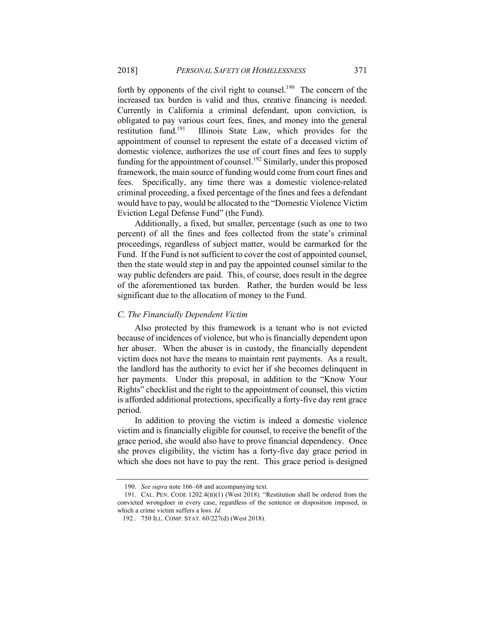forth by opponents of the civil right to counsel.<sup>190</sup> The concern of the increased tax burden is valid and thus, creative financing is needed. Currently in California a criminal defendant, upon conviction, is obligated to pay various court fees, fines, and money into the general restitution fund.<sup>191</sup> Illinois State Law, which provides for the appointment of counsel to represent the estate of a deceased victim of domestic violence, authorizes the use of court fines and fees to supply funding for the appointment of counsel.<sup>192</sup> Similarly, under this proposed framework, the main source of funding would come from court fines and fees. Specifically, any time there was a domestic violence-related criminal proceeding, a fixed percentage of the fines and fees a defendant would have to pay, would be allocated to the "Domestic Violence Victim Eviction Legal Defense Fund" (the Fund).

Additionally, a fixed, but smaller, percentage (such as one to two percent) of all the fines and fees collected from the state's criminal proceedings, regardless of subject matter, would be earmarked for the Fund. If the Fund is not sufficient to cover the cost of appointed counsel, then the state would step in and pay the appointed counsel similar to the way public defenders are paid. This, of course, does result in the degree of the aforementioned tax burden. Rather, the burden would be less significant due to the allocation of money to the Fund.

#### *C. The Financially Dependent Victim*

Also protected by this framework is a tenant who is not evicted because of incidences of violence, but who is financially dependent upon her abuser. When the abuser is in custody, the financially dependent victim does not have the means to maintain rent payments. As a result, the landlord has the authority to evict her if she becomes delinquent in her payments. Under this proposal, in addition to the "Know Your Rights" checklist and the right to the appointment of counsel, this victim is afforded additional protections, specifically a forty-five day rent grace period.

In addition to proving the victim is indeed a domestic violence victim and is financially eligible for counsel, to receive the benefit of the grace period, she would also have to prove financial dependency. Once she proves eligibility, the victim has a forty-five day grace period in which she does not have to pay the rent. This grace period is designed

<sup>190.</sup> *See supra* note 166–68 and accompanying text.

<sup>191.</sup> CAL. PEN. CODE 1202.4(B)(1) (West 2018). "Restitution shall be ordered from the convicted wrongdoer in every case, regardless of the sentence or disposition imposed, in which a crime victim suffers a loss. *Id.*

<sup>192..</sup> 750 ILL. COMP. STAT. 60/227(d) (West 2018).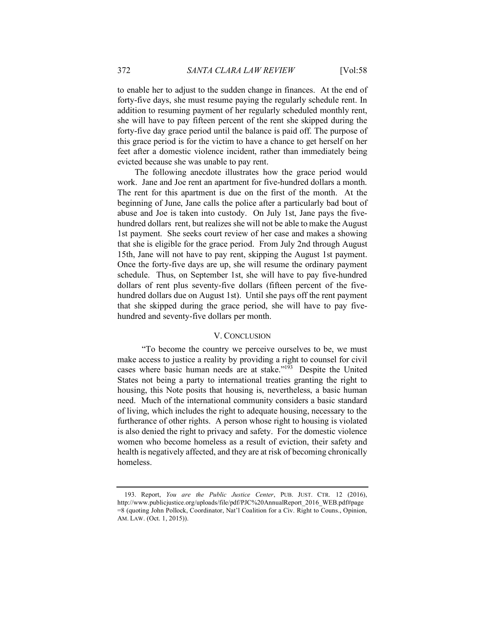to enable her to adjust to the sudden change in finances. At the end of forty-five days, she must resume paying the regularly schedule rent. In addition to resuming payment of her regularly scheduled monthly rent, she will have to pay fifteen percent of the rent she skipped during the forty-five day grace period until the balance is paid off. The purpose of this grace period is for the victim to have a chance to get herself on her feet after a domestic violence incident, rather than immediately being evicted because she was unable to pay rent.

The following anecdote illustrates how the grace period would work. Jane and Joe rent an apartment for five-hundred dollars a month. The rent for this apartment is due on the first of the month. At the beginning of June, Jane calls the police after a particularly bad bout of abuse and Joe is taken into custody. On July 1st, Jane pays the fivehundred dollars rent, but realizes she will not be able to make the August 1st payment. She seeks court review of her case and makes a showing that she is eligible for the grace period. From July 2nd through August 15th, Jane will not have to pay rent, skipping the August 1st payment. Once the forty-five days are up, she will resume the ordinary payment schedule. Thus, on September 1st, she will have to pay five-hundred dollars of rent plus seventy-five dollars (fifteen percent of the fivehundred dollars due on August 1st). Until she pays off the rent payment that she skipped during the grace period, she will have to pay fivehundred and seventy-five dollars per month.

#### V. CONCLUSION

"To become the country we perceive ourselves to be, we must make access to justice a reality by providing a right to counsel for civil cases where basic human needs are at stake."193 Despite the United States not being a party to international treaties granting the right to housing, this Note posits that housing is, nevertheless, a basic human need. Much of the international community considers a basic standard of living, which includes the right to adequate housing, necessary to the furtherance of other rights. A person whose right to housing is violated is also denied the right to privacy and safety. For the domestic violence women who become homeless as a result of eviction, their safety and health is negatively affected, and they are at risk of becoming chronically homeless.

<sup>193.</sup> Report, *You are the Public Justice Center*, PUB. JUST. CTR. 12 (2016), http://www.publicjustice.org/uploads/file/pdf/PJC%20AnnualReport\_2016\_WEB.pdf#page =8 (quoting John Pollock, Coordinator, Nat'l Coalition for a Civ. Right to Couns., Opinion, AM. LAW. (Oct. 1, 2015)).